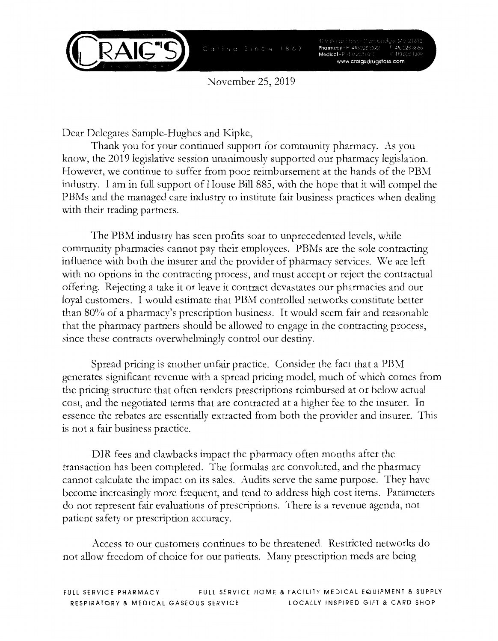

November 25, 2019

Dear Delegates Sample-Hughes and Kipke,

Thank you for your continued support for community pharmacy. As you know, the 2019 legislative session unanimously supported our pharmacy legislation. However, we continue to suffer from poor reimbursement at the hands of the PBM industry. I am in full support of House Bill 885, with the hope that it will compel the PBMs and the managed care industry to institute fair business practices when dealing with their trading partners.

The PBM industry has seen profits soar to unprecedented levels, while community pharmacies cannot pay their employees. PBMs are the sole contracting influence with both the insurer and the provider of pharmacy services. We are left with no options in the contracting process, and must accept or reject the contractual offering. Rejecting a take it or leave it contract devastates our pharmacies and our loyal customers. I would estimate that PBM controlled networks constitute better than 80% of a pharmacy's prescription business. It would seem fair and reasonable that the pharmacy partners should be allowed to engage in the contracting process, since these contracts overwhelmingly control our destiny.

Spread pricing is another unfair practice. Consider the fact that a PBM generates significant revenue with a spread pricing model, much of which comes from the pricing structure that often renders prescriptions reimbursed at or below actual cost, and the negotiated terms that are contracted at a higher fee to the insurer. In essence the rebates are essentially extracted from both the provider and insurer. This is not a fair business practice.

DIR fees and clawbacks impact the pharmacy often months after the transaction has been completed. The formulas are convoluted, and the pharmacy cannot calculate the impact on its sales. Audits serve the same purpose. They have become increasingly more frequent, and tend to address high cost items. Parameters do not represent fair evaluations of prescriptions. There is a revenue agenda, not patient safety or prescription accuracy.

Access to our customers continues to be threatened. Restricted networks do not allow freedom of choice for our patients. Many prescription meds are being